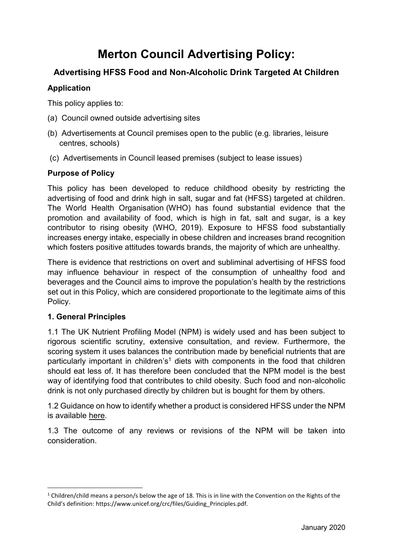# **Merton Council Advertising Policy:**

# **Advertising HFSS Food and Non-Alcoholic Drink Targeted At Children**

# **Application**

This policy applies to:

- (a) Council owned outside advertising sites
- (b) Advertisements at Council premises open to the public (e.g. libraries, leisure centres, schools)
- (c) Advertisements in Council leased premises (subject to lease issues)

# **Purpose of Policy**

This policy has been developed to reduce childhood obesity by restricting the advertising of food and drink high in salt, sugar and fat (HFSS) targeted at children. The World Health Organisation (WHO) has found substantial evidence that the promotion and availability of food, which is high in fat, salt and sugar, is a key contributor to rising obesity (WHO, 2019). Exposure to HFSS food substantially increases energy intake, especially in obese children and increases brand recognition which fosters positive attitudes towards brands, the majority of which are unhealthy.

There is evidence that restrictions on overt and subliminal advertising of HFSS food may influence behaviour in respect of the consumption of unhealthy food and beverages and the Council aims to improve the population's health by the restrictions set out in this Policy, which are considered proportionate to the legitimate aims of this Policy.

# **1. General Principles**

1

1.1 The UK Nutrient Profiling Model (NPM) is widely used and has been subject to rigorous scientific scrutiny, extensive consultation, and review. Furthermore, the scoring system it uses balances the contribution made by beneficial nutrients that are particularly important in children's<sup>1</sup> diets with components in the food that children should eat less of. It has therefore been concluded that the NPM model is the best way of identifying food that contributes to child obesity. Such food and non-alcoholic drink is not only purchased directly by children but is bought for them by others.

1.2 Guidance on how to identify whether a product is considered HFSS under the NPM is available [here.](https://www.gov.uk/government/publications/the-nutrient-profiling-model)

1.3 The outcome of any reviews or revisions of the NPM will be taken into consideration.

<sup>&</sup>lt;sup>1</sup> Children/child means a person/s below the age of 18. This is in line with the Convention on the Rights of the Child's definition: https://www.unicef.org/crc/files/Guiding\_Principles.pdf.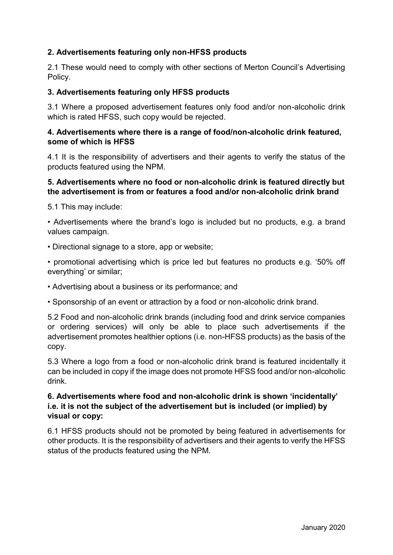# **2. Advertisements featuring only non-HFSS products**

2.1 These would need to comply with other sections of Merton Council's Advertising Policy.

#### **3. Advertisements featuring only HFSS products**

3.1 Where a proposed advertisement features only food and/or non-alcoholic drink which is rated HFSS, such copy would be rejected.

#### **4. Advertisements where there is a range of food/non-alcoholic drink featured, some of which is HFSS**

4.1 It is the responsibility of advertisers and their agents to verify the status of the products featured using the NPM.

#### **5. Advertisements where no food or non-alcoholic drink is featured directly but the advertisement is from or features a food and/or non-alcoholic drink brand**

5.1 This may include:

• Advertisements where the brand's logo is included but no products, e.g. a brand values campaign.

• Directional signage to a store, app or website;

• promotional advertising which is price led but features no products e.g. '50% off everything' or similar;

• Advertising about a business or its performance; and

• Sponsorship of an event or attraction by a food or non-alcoholic drink brand.

5.2 Food and non-alcoholic drink brands (including food and drink service companies or ordering services) will only be able to place such advertisements if the advertisement promotes healthier options (i.e. non-HFSS products) as the basis of the copy.

5.3 Where a logo from a food or non-alcoholic drink brand is featured incidentally it can be included in copy if the image does not promote HFSS food and/or non-alcoholic drink.

# **6. Advertisements where food and non-alcoholic drink is shown 'incidentally' i.e. it is not the subject of the advertisement but is included (or implied) by visual or copy:**

6.1 HFSS products should not be promoted by being featured in advertisements for other products. It is the responsibility of advertisers and their agents to verify the HFSS status of the products featured using the NPM.